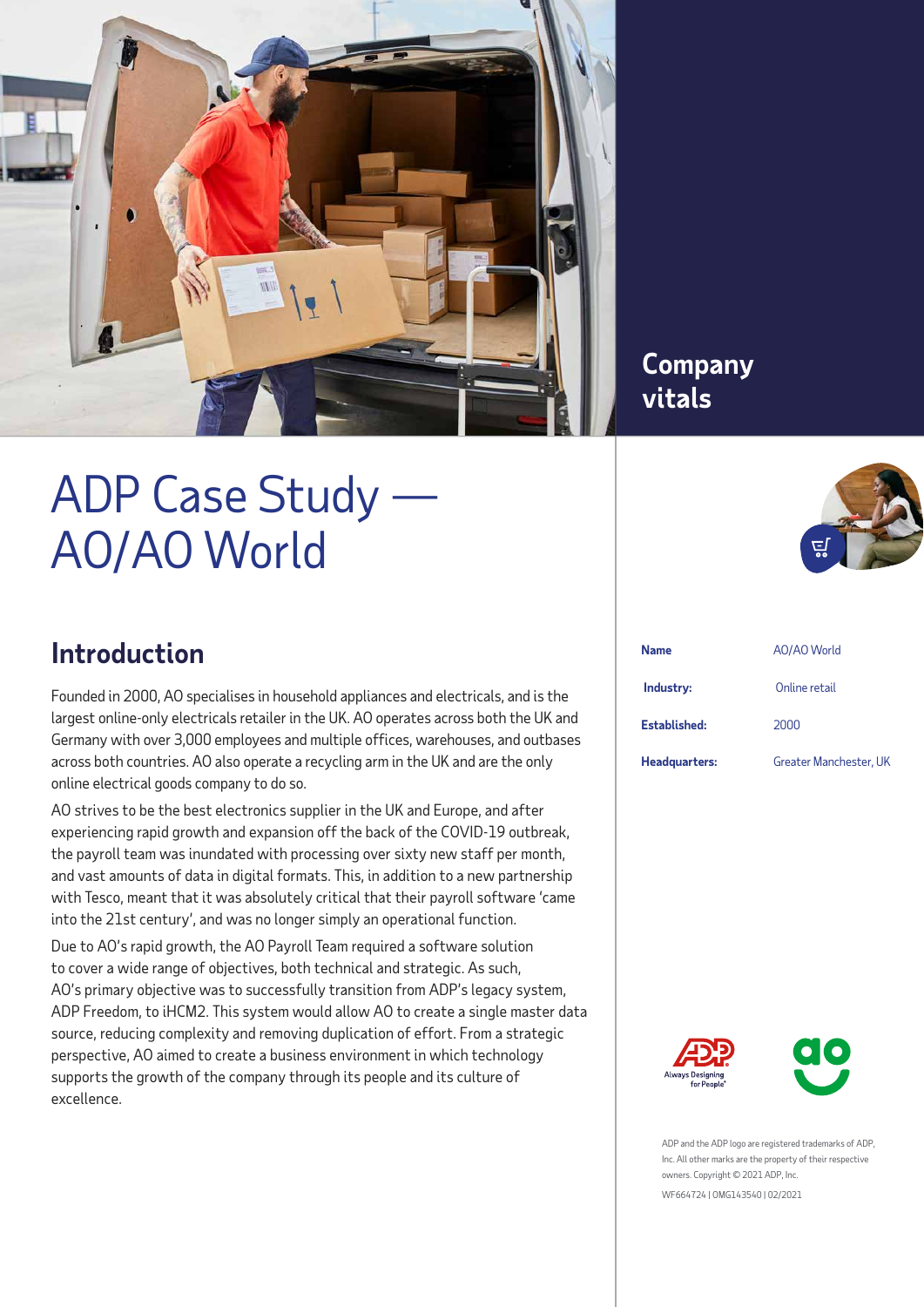

# ADP Case Study — AO/AO World

### **Company vitals**



# **Introduction**

Founded in 2000, AO specialises in household appliances and electricals, and is the largest online-only electricals retailer in the UK. AO operates across both the UK and Germany with over 3,000 employees and multiple offices, warehouses, and outbases across both countries. AO also operate a recycling arm in the UK and are the only online electrical goods company to do so.

AO strives to be the best electronics supplier in the UK and Europe, and after experiencing rapid growth and expansion off the back of the COVID-19 outbreak, the payroll team was inundated with processing over sixty new staff per month, and vast amounts of data in digital formats. This, in addition to a new partnership with Tesco, meant that it was absolutely critical that their payroll software 'came into the 21st century', and was no longer simply an operational function.

Due to AO's rapid growth, the AO Payroll Team required a software solution to cover a wide range of objectives, both technical and strategic. As such, AO's primary objective was to successfully transition from ADP's legacy system, ADP Freedom, to iHCM2. This system would allow AO to create a single master data source, reducing complexity and removing duplication of effort. From a strategic perspective, AO aimed to create a business environment in which technology supports the growth of the company through its people and its culture of excellence.

| Name          | AO/AO World            |
|---------------|------------------------|
| Industry:     | Online retail          |
| Established:  | 2000                   |
| Headquarters: | Greater Manchester, UK |





ADP and the ADP logo are registered trademarks of ADP, Inc. All other marks are the property of their respective owners. Copyright © 2021 ADP, Inc.

WF664724 | OMG143540 | 02/2021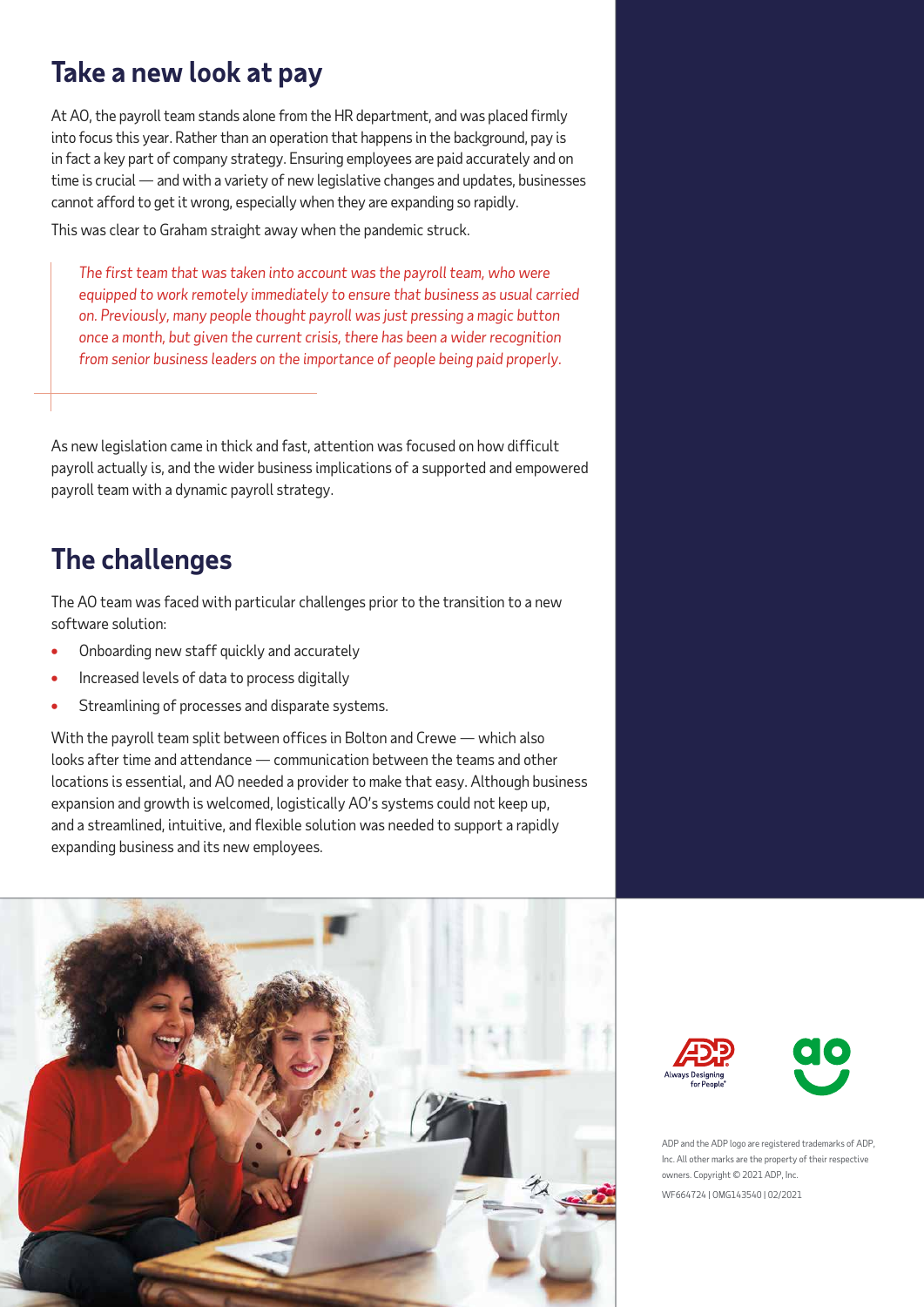# **Take a new look at pay**

At AO, the payroll team stands alone from the HR department, and was placed firmly into focus this year. Rather than an operation that happens in the background, pay is in fact a key part of company strategy. Ensuring employees are paid accurately and on time is crucial — and with a variety of new legislative changes and updates, businesses cannot afford to get it wrong, especially when they are expanding so rapidly.

This was clear to Graham straight away when the pandemic struck.

*The first team that was taken into account was the payroll team, who were equipped to work remotely immediately to ensure that business as usual carried on. Previously, many people thought payroll was just pressing a magic button once a month, but given the current crisis, there has been a wider recognition from senior business leaders on the importance of people being paid properly.*

As new legislation came in thick and fast, attention was focused on how difficult payroll actually is, and the wider business implications of a supported and empowered payroll team with a dynamic payroll strategy.

### **The challenges**

The AO team was faced with particular challenges prior to the transition to a new software solution:

- **•** Onboarding new staff quickly and accurately
- **•** Increased levels of data to process digitally
- **•** Streamlining of processes and disparate systems.

With the payroll team split between offices in Bolton and Crewe — which also looks after time and attendance — communication between the teams and other locations is essential, and AO needed a provider to make that easy. Although business expansion and growth is welcomed, logistically AO's systems could not keep up, and a streamlined, intuitive, and flexible solution was needed to support a rapidly expanding business and its new employees.







ADP and the ADP logo are registered trademarks of ADP, Inc. All other marks are the property of their respective owners. Copyright © 2021 ADP, Inc.

WF664724 | OMG143540 | 02/2021